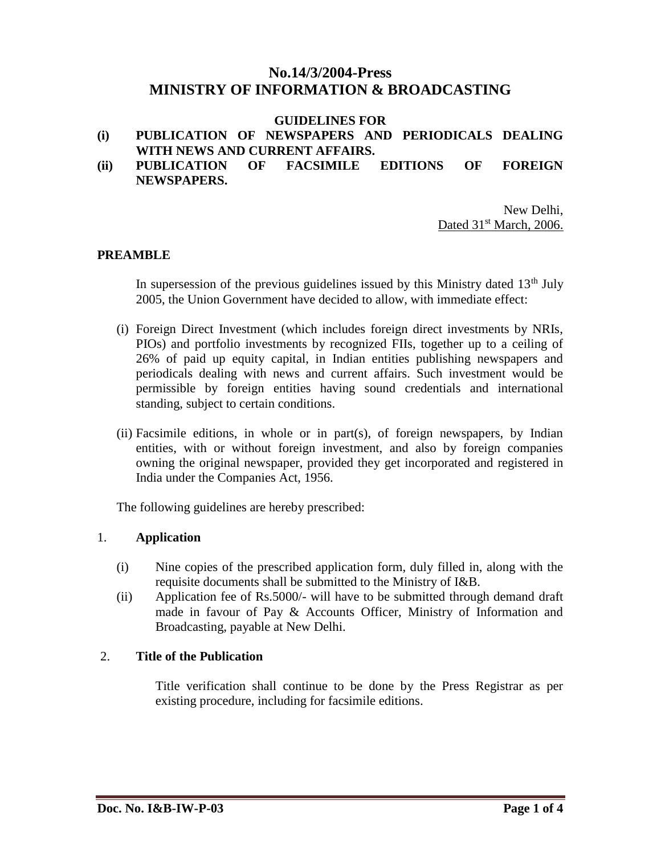# **No.14/3/2004-Press MINISTRY OF INFORMATION & BROADCASTING**

#### **GUIDELINES FOR**

#### **(i) PUBLICATION OF NEWSPAPERS AND PERIODICALS DEALING WITH NEWS AND CURRENT AFFAIRS.**

**(ii) PUBLICATION OF FACSIMILE EDITIONS OF FOREIGN NEWSPAPERS.**

> New Delhi, Dated 31<sup>st</sup> March, 2006.

#### **PREAMBLE**

In supersession of the previous guidelines issued by this Ministry dated  $13<sup>th</sup>$  July 2005, the Union Government have decided to allow, with immediate effect:

- (i) Foreign Direct Investment (which includes foreign direct investments by NRIs, PIOs) and portfolio investments by recognized FIIs, together up to a ceiling of 26% of paid up equity capital, in Indian entities publishing newspapers and periodicals dealing with news and current affairs. Such investment would be permissible by foreign entities having sound credentials and international standing, subject to certain conditions.
- (ii) Facsimile editions, in whole or in part(s), of foreign newspapers, by Indian entities, with or without foreign investment, and also by foreign companies owning the original newspaper, provided they get incorporated and registered in India under the Companies Act, 1956.

The following guidelines are hereby prescribed:

#### 1. **Application**

- (i) Nine copies of the prescribed application form, duly filled in, along with the requisite documents shall be submitted to the Ministry of I&B.
- (ii) Application fee of Rs.5000/- will have to be submitted through demand draft made in favour of Pay & Accounts Officer, Ministry of Information and Broadcasting, payable at New Delhi.

### 2. **Title of the Publication**

Title verification shall continue to be done by the Press Registrar as per existing procedure, including for facsimile editions.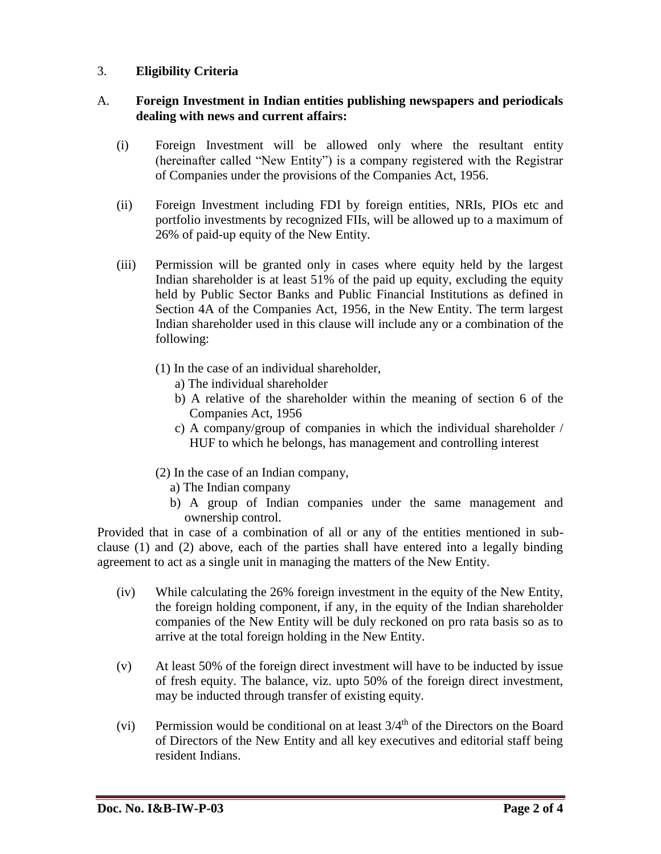## 3. **Eligibility Criteria**

### A. **Foreign Investment in Indian entities publishing newspapers and periodicals dealing with news and current affairs:**

- (i) Foreign Investment will be allowed only where the resultant entity (hereinafter called "New Entity") is a company registered with the Registrar of Companies under the provisions of the Companies Act, 1956.
- (ii) Foreign Investment including FDI by foreign entities, NRIs, PIOs etc and portfolio investments by recognized FIIs, will be allowed up to a maximum of 26% of paid-up equity of the New Entity.
- (iii) Permission will be granted only in cases where equity held by the largest Indian shareholder is at least 51% of the paid up equity, excluding the equity held by Public Sector Banks and Public Financial Institutions as defined in Section 4A of the Companies Act, 1956, in the New Entity. The term largest Indian shareholder used in this clause will include any or a combination of the following:
	- (1) In the case of an individual shareholder,
		- a) The individual shareholder
		- b) A relative of the shareholder within the meaning of section 6 of the Companies Act, 1956
		- c) A company/group of companies in which the individual shareholder / HUF to which he belongs, has management and controlling interest
	- (2) In the case of an Indian company,
		- a) The Indian company
		- b) A group of Indian companies under the same management and ownership control.

Provided that in case of a combination of all or any of the entities mentioned in subclause (1) and (2) above, each of the parties shall have entered into a legally binding agreement to act as a single unit in managing the matters of the New Entity.

- (iv) While calculating the 26% foreign investment in the equity of the New Entity, the foreign holding component, if any, in the equity of the Indian shareholder companies of the New Entity will be duly reckoned on pro rata basis so as to arrive at the total foreign holding in the New Entity.
- (v) At least 50% of the foreign direct investment will have to be inducted by issue of fresh equity. The balance, viz. upto 50% of the foreign direct investment, may be inducted through transfer of existing equity.
- (vi) Permission would be conditional on at least  $3/4<sup>th</sup>$  of the Directors on the Board of Directors of the New Entity and all key executives and editorial staff being resident Indians.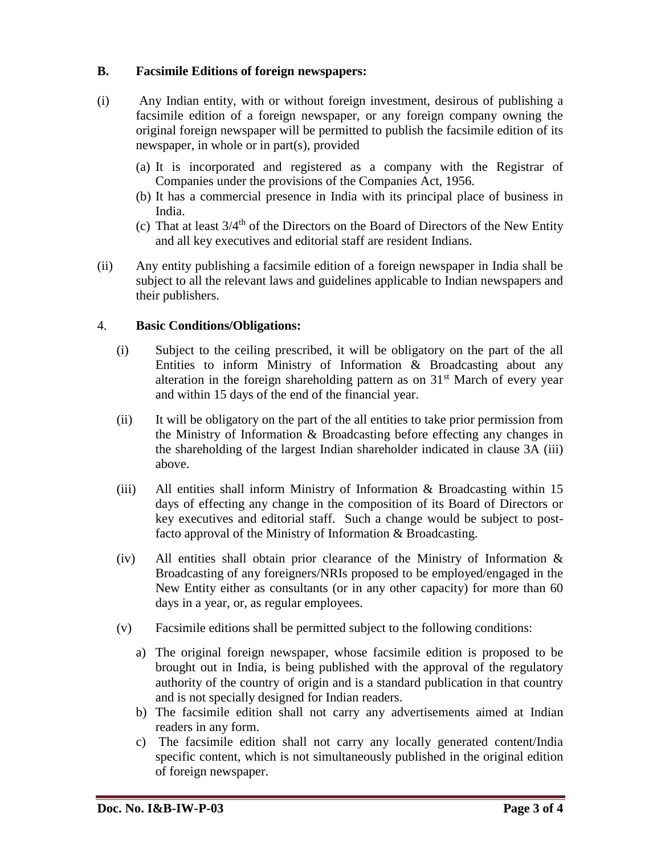## **B. Facsimile Editions of foreign newspapers:**

- (i) Any Indian entity, with or without foreign investment, desirous of publishing a facsimile edition of a foreign newspaper, or any foreign company owning the original foreign newspaper will be permitted to publish the facsimile edition of its newspaper, in whole or in part(s), provided
	- (a) It is incorporated and registered as a company with the Registrar of Companies under the provisions of the Companies Act, 1956.
	- (b) It has a commercial presence in India with its principal place of business in India.
	- (c) That at least  $3/4<sup>th</sup>$  of the Directors on the Board of Directors of the New Entity and all key executives and editorial staff are resident Indians.
- (ii) Any entity publishing a facsimile edition of a foreign newspaper in India shall be subject to all the relevant laws and guidelines applicable to Indian newspapers and their publishers.

### 4. **Basic Conditions/Obligations:**

- (i) Subject to the ceiling prescribed, it will be obligatory on the part of the all Entities to inform Ministry of Information & Broadcasting about any alteration in the foreign shareholding pattern as on  $31<sup>st</sup>$  March of every year and within 15 days of the end of the financial year.
- (ii) It will be obligatory on the part of the all entities to take prior permission from the Ministry of Information & Broadcasting before effecting any changes in the shareholding of the largest Indian shareholder indicated in clause 3A (iii) above.
- (iii) All entities shall inform Ministry of Information  $\&$  Broadcasting within 15 days of effecting any change in the composition of its Board of Directors or key executives and editorial staff. Such a change would be subject to postfacto approval of the Ministry of Information & Broadcasting.
- (iv) All entities shall obtain prior clearance of the Ministry of Information & Broadcasting of any foreigners/NRIs proposed to be employed/engaged in the New Entity either as consultants (or in any other capacity) for more than 60 days in a year, or, as regular employees.
- (v) Facsimile editions shall be permitted subject to the following conditions:
	- a) The original foreign newspaper, whose facsimile edition is proposed to be brought out in India, is being published with the approval of the regulatory authority of the country of origin and is a standard publication in that country and is not specially designed for Indian readers.
	- b) The facsimile edition shall not carry any advertisements aimed at Indian readers in any form.
	- c) The facsimile edition shall not carry any locally generated content/India specific content, which is not simultaneously published in the original edition of foreign newspaper.